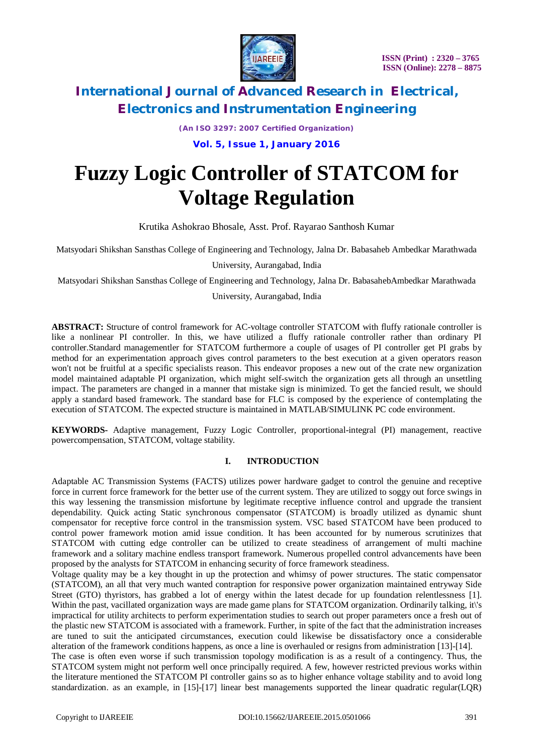

*(An ISO 3297: 2007 Certified Organization)*

**Vol. 5, Issue 1, January 2016**

# **Fuzzy Logic Controller of STATCOM for Voltage Regulation**

Krutika Ashokrao Bhosale, Asst. Prof. Rayarao Santhosh Kumar

Matsyodari Shikshan Sansthas College of Engineering and Technology, Jalna Dr. Babasaheb Ambedkar Marathwada

University, Aurangabad, India

Matsyodari Shikshan Sansthas College of Engineering and Technology, Jalna Dr. BabasahebAmbedkar Marathwada

University, Aurangabad, India

**ABSTRACT:** Structure of control framework for AC-voltage controller STATCOM with fluffy rationale controller is like a nonlinear PI controller. In this, we have utilized a fluffy rationale controller rather than ordinary PI controller.Standard managementler for STATCOM furthermore a couple of usages of PI controller get PI grabs by method for an experimentation approach gives control parameters to the best execution at a given operators reason won't not be fruitful at a specific specialists reason. This endeavor proposes a new out of the crate new organization model maintained adaptable PI organization, which might self-switch the organization gets all through an unsettling impact. The parameters are changed in a manner that mistake sign is minimized. To get the fancied result, we should apply a standard based framework. The standard base for FLC is composed by the experience of contemplating the execution of STATCOM. The expected structure is maintained in MATLAB/SIMULINK PC code environment.

**KEYWORDS-** Adaptive management, Fuzzy Logic Controller, proportional-integral (PI) management, reactive powercompensation, STATCOM, voltage stability.

### **I. INTRODUCTION**

Adaptable AC Transmission Systems (FACTS) utilizes power hardware gadget to control the genuine and receptive force in current force framework for the better use of the current system. They are utilized to soggy out force swings in this way lessening the transmission misfortune by legitimate receptive influence control and upgrade the transient dependability. Quick acting Static synchronous compensator (STATCOM) is broadly utilized as dynamic shunt compensator for receptive force control in the transmission system. VSC based STATCOM have been produced to control power framework motion amid issue condition. It has been accounted for by numerous scrutinizes that STATCOM with cutting edge controller can be utilized to create steadiness of arrangement of multi machine framework and a solitary machine endless transport framework. Numerous propelled control advancements have been proposed by the analysts for STATCOM in enhancing security of force framework steadiness.

Voltage quality may be a key thought in up the protection and whimsy of power structures. The static compensator (STATCOM), an all that very much wanted contraption for responsive power organization maintained entryway Side Street (GTO) thyristors, has grabbed a lot of energy within the latest decade for up foundation relentlessness [1]. Within the past, vacillated organization ways are made game plans for STATCOM organization. Ordinarily talking, it\'s impractical for utility architects to perform experimentation studies to search out proper parameters once a fresh out of the plastic new STATCOM is associated with a framework. Further, in spite of the fact that the administration increases are tuned to suit the anticipated circumstances, execution could likewise be dissatisfactory once a considerable alteration of the framework conditions happens, as once a line is overhauled or resigns from administration [13]-[14]. The case is often even worse if such transmission topology modification is as a result of a contingency. Thus, the

STATCOM system might not perform well once principally required. A few, however restricted previous works within the literature mentioned the STATCOM PI controller gains so as to higher enhance voltage stability and to avoid long standardization. as an example, in [15]-[17] linear best managements supported the linear quadratic regular(LQR)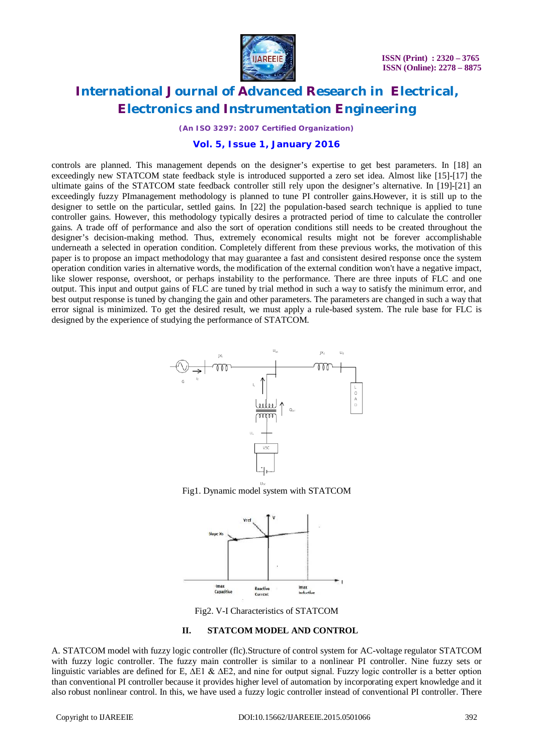

*(An ISO 3297: 2007 Certified Organization)*

#### **Vol. 5, Issue 1, January 2016**

controls are planned. This management depends on the designer's expertise to get best parameters. In [18] an exceedingly new STATCOM state feedback style is introduced supported a zero set idea. Almost like [15]-[17] the ultimate gains of the STATCOM state feedback controller still rely upon the designer's alternative. In [19]-[21] an exceedingly fuzzy PImanagement methodology is planned to tune PI controller gains.However, it is still up to the designer to settle on the particular, settled gains. In [22] the population-based search technique is applied to tune controller gains. However, this methodology typically desires a protracted period of time to calculate the controller gains. A trade off of performance and also the sort of operation conditions still needs to be created throughout the designer's decision-making method. Thus, extremely economical results might not be forever accomplishable underneath a selected in operation condition. Completely different from these previous works, the motivation of this paper is to propose an impact methodology that may guarantee a fast and consistent desired response once the system operation condition varies in alternative words, the modification of the external condition won't have a negative impact, like slower response, overshoot, or perhaps instability to the performance. There are three inputs of FLC and one output. This input and output gains of FLC are tuned by trial method in such a way to satisfy the minimum error, and best output response is tuned by changing the gain and other parameters. The parameters are changed in such a way that error signal is minimized. To get the desired result, we must apply a rule-based system. The rule base for FLC is designed by the experience of studying the performance of STATCOM.



Fig1. Dynamic model system with STATCOM



Fig2. V-I Characteristics of STATCOM

#### **II. STATCOM MODEL AND CONTROL**

A. STATCOM model with fuzzy logic controller (flc).Structure of control system for AC-voltage regulator STATCOM with fuzzy logic controller. The fuzzy main controller is similar to a nonlinear PI controller. Nine fuzzy sets or linguistic variables are defined for E,  $\Delta E1 \& \Delta E2$ , and nine for output signal. Fuzzy logic controller is a better option than conventional PI controller because it provides higher level of automation by incorporating expert knowledge and it also robust nonlinear control. In this, we have used a fuzzy logic controller instead of conventional PI controller. There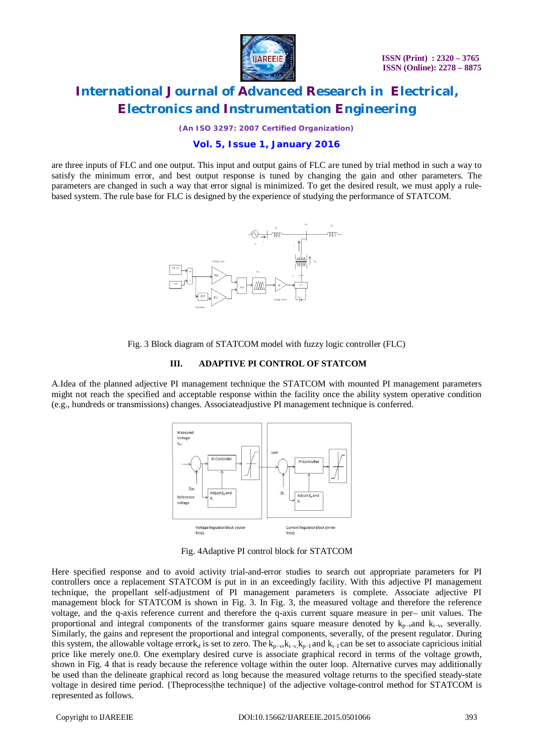

*(An ISO 3297: 2007 Certified Organization)*

#### **Vol. 5, Issue 1, January 2016**

are three inputs of FLC and one output. This input and output gains of FLC are tuned by trial method in such a way to satisfy the minimum error, and best output response is tuned by changing the gain and other parameters. The parameters are changed in such a way that error signal is minimized. To get the desired result, we must apply a rulebased system. The rule base for FLC is designed by the experience of studying the performance of STATCOM.





#### **III. ADAPTIVE PI CONTROL OF STATCOM**

A.Idea of the planned adjective PI management technique the STATCOM with mounted PI management parameters might not reach the specified and acceptable response within the facility once the ability system operative condition (e.g., hundreds or transmissions) changes. Associateadjustive PI management technique is conferred.



Fig. 4Adaptive PI control block for STATCOM

Here specified response and to avoid activity trial-and-error studies to search out appropriate parameters for PI controllers once a replacement STATCOM is put in in an exceedingly facility. With this adjective PI management technique, the propellant self-adjustment of PI management parameters is complete. Associate adjective PI management block for STATCOM is shown in Fig. 3. In Fig. 3, the measured voltage and therefore the reference voltage, and the q-axis reference current and therefore the q-axis current square measure in per– unit values. The proportional and integral components of the transformer gains square measure denoted by  $k_{p-\nu}$ and  $k_{i-\nu}$ , severally. Similarly, the gains and represent the proportional and integral components, severally, of the present regulator. During this system, the allowable voltage errork<sub>d</sub> is set to zero. The  $k_{p-v}$ ,  $k_{i-v}$ ,  $k_{p-1}$  and  $k_{i-1}$  can be set to associate capricious initial price like merely one.0. One exemplary desired curve is associate graphical record in terms of the voltage growth, shown in Fig. 4 that is ready because the reference voltage within the outer loop. Alternative curves may additionally be used than the delineate graphical record as long because the measured voltage returns to the specified steady-state voltage in desired time period. {Theprocess|the technique} of the adjective voltage-control method for STATCOM is represented as follows.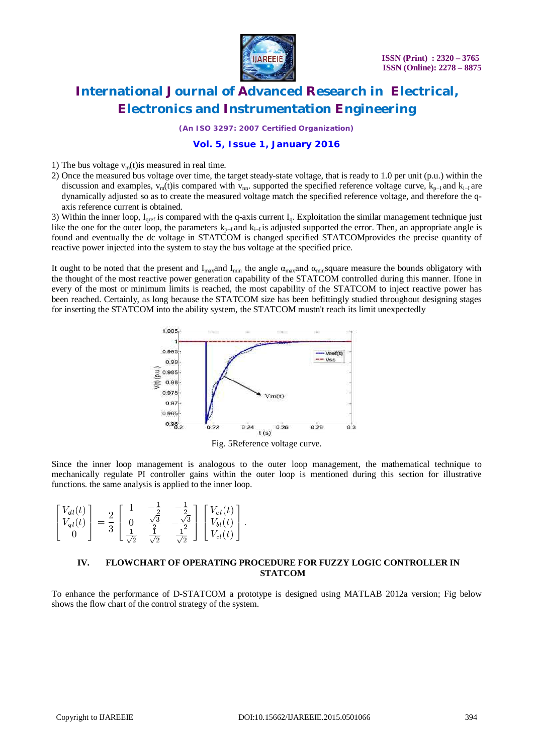

*(An ISO 3297: 2007 Certified Organization)*

### **Vol. 5, Issue 1, January 2016**

1) The bus voltage  $v<sub>m</sub>(t)$  is measured in real time.

2) Once the measured bus voltage over time, the target steady-state voltage, that is ready to 1.0 per unit (p.u.) within the discussion and examples,  $v_m(t)$  compared with  $v_{nn}$ . supported the specified reference voltage curve,  $k_{p-1}$  and  $k_{i-1}$  are dynamically adjusted so as to create the measured voltage match the specified reference voltage, and therefore the qaxis reference current is obtained.

3) Within the inner loop,  $I_{\text{qref}}$  is compared with the q-axis current  $I_q$ . Exploitation the similar management technique just like the one for the outer loop, the parameters  $k_{p-1}$  and  $k_{i-1}$  is adjusted supported the error. Then, an appropriate angle is found and eventually the dc voltage in STATCOM is changed specified STATCOMprovides the precise quantity of reactive power injected into the system to stay the bus voltage at the specified price.

It ought to be noted that the present and I<sub>max</sub>and I<sub>min</sub> the angle  $\alpha_{\text{max}}$ and  $\alpha_{\text{min}}$  square measure the bounds obligatory with the thought of the most reactive power generation capability of the STATCOM controlled during this manner. Ifone in every of the most or minimum limits is reached, the most capability of the STATCOM to inject reactive power has been reached. Certainly, as long because the STATCOM size has been befittingly studied throughout designing stages for inserting the STATCOM into the ability system, the STATCOM mustn't reach its limit unexpectedly



Fig. 5Reference voltage curve.

Since the inner loop management is analogous to the outer loop management, the mathematical technique to mechanically regulate PI controller gains within the outer loop is mentioned during this section for illustrative functions. the same analysis is applied to the inner loop.

| $V_{dl}(t)$ ]<br>$V_{ql}(t)$ |  |  |  | $V_{al}(t)$ ]<br>$V_{bl}(t)$<br>$V_{cl}(t)$ |
|------------------------------|--|--|--|---------------------------------------------|
|------------------------------|--|--|--|---------------------------------------------|

#### **IV. FLOWCHART OF OPERATING PROCEDURE FOR FUZZY LOGIC CONTROLLER IN STATCOM**

To enhance the performance of D-STATCOM a prototype is designed using MATLAB 2012a version; Fig below shows the flow chart of the control strategy of the system.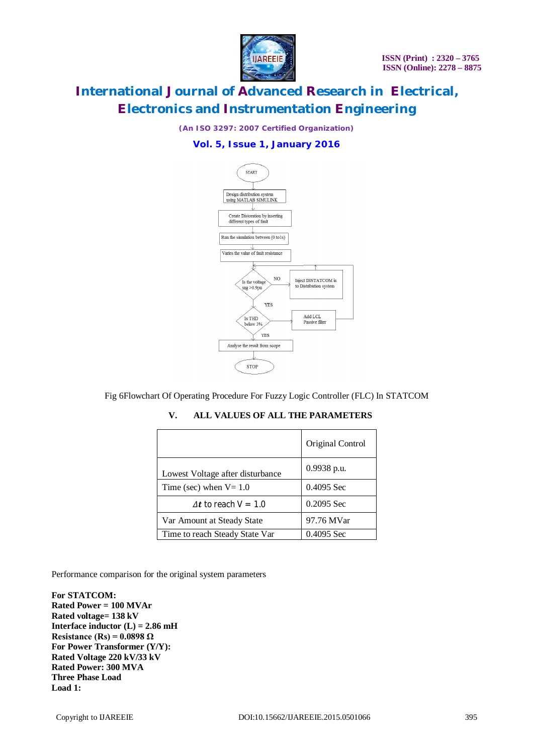

*(An ISO 3297: 2007 Certified Organization)*

### **Vol. 5, Issue 1, January 2016**



Fig 6Flowchart Of Operating Procedure For Fuzzy Logic Controller (FLC) In STATCOM

|                                  | Original Control |  |  |
|----------------------------------|------------------|--|--|
| Lowest Voltage after disturbance | $0.9938$ p.u.    |  |  |
| Time (sec) when $V = 1.0$        | 0.4095 Sec       |  |  |
| $\Delta t$ to reach $V = 1.0$    | $0.2095$ Sec     |  |  |
| Var Amount at Steady State       | 97.76 MVar       |  |  |
| Time to reach Steady State Var   | 0.4095 Sec       |  |  |

**V. ALL VALUES OF ALL THE PARAMETERS** 

Performance comparison for the original system parameters

**For STATCOM: Rated Power = 100 MVAr Rated voltage= 138 kV Interface inductor**  $(L) = 2.86$  mH **Resistance (Rs) = 0.0898 Ω For Power Transformer (Y/Y): Rated Voltage 220 kV/33 kV Rated Power: 300 MVA Three Phase Load Load 1:**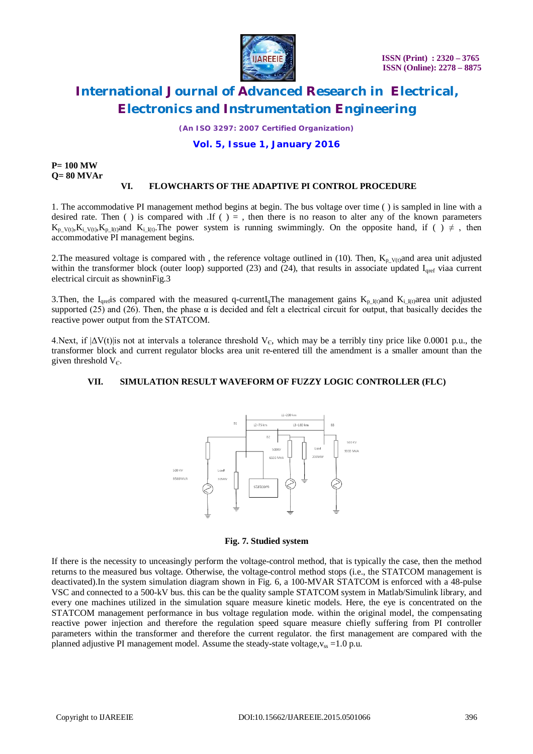

*(An ISO 3297: 2007 Certified Organization)*

**Vol. 5, Issue 1, January 2016**

**P= 100 MW Q= 80 MVAr**

#### **VI. FLOWCHARTS OF THE ADAPTIVE PI CONTROL PROCEDURE**

1. The accommodative PI management method begins at begin. The bus voltage over time ( ) is sampled in line with a desired rate. Then ( ) is compared with .If ( ) = , then there is no reason to alter any of the known parameters  $K_{p_V(t)}, K_{i_V(t)}, K_{p_I(t)}$  and  $K_{i_I(t)}$ . The power system is running swimmingly. On the opposite hand, if ( )  $\neq$  , then accommodative PI management begins.

2. The measured voltage is compared with, the reference voltage outlined in (10). Then,  $K_{p_V(t)}$ and area unit adjusted within the transformer block (outer loop) supported  $(23)$  and  $(24)$ , that results in associate updated  $I<sub>aret</sub>$  viaa current electrical circuit as showninFig.3

3. Then, the I<sub>qref</sub>is compared with the measured q-currentI<sub>q</sub>The management gains  $K_{p\_I(t)}$ and  $K_{i\_I(t)}$ area unit adjusted supported (25) and (26). Then, the phase  $\alpha$  is decided and felt a electrical circuit for output, that basically decides the reactive power output from the STATCOM.

4. Next, if  $|\Delta V(t)|$  is not at intervals a tolerance threshold V<sub>c</sub>, which may be a terribly tiny price like 0.0001 p.u., the transformer block and current regulator blocks area unit re-entered till the amendment is a smaller amount than the given threshold  $V_{\epsilon}$ .

#### **VII. SIMULATION RESULT WAVEFORM OF FUZZY LOGIC CONTROLLER (FLC)**



#### **Fig. 7. Studied system**

If there is the necessity to unceasingly perform the voltage-control method, that is typically the case, then the method returns to the measured bus voltage. Otherwise, the voltage-control method stops (i.e., the STATCOM management is deactivated).In the system simulation diagram shown in Fig. 6, a 100-MVAR STATCOM is enforced with a 48-pulse VSC and connected to a 500-kV bus. this can be the quality sample STATCOM system in Matlab/Simulink library, and every one machines utilized in the simulation square measure kinetic models. Here, the eye is concentrated on the STATCOM management performance in bus voltage regulation mode. within the original model, the compensating reactive power injection and therefore the regulation speed square measure chiefly suffering from PI controller parameters within the transformer and therefore the current regulator. the first management are compared with the planned adjustive PI management model. Assume the steady-state voltage, $v_{ss} = 1.0$  p.u.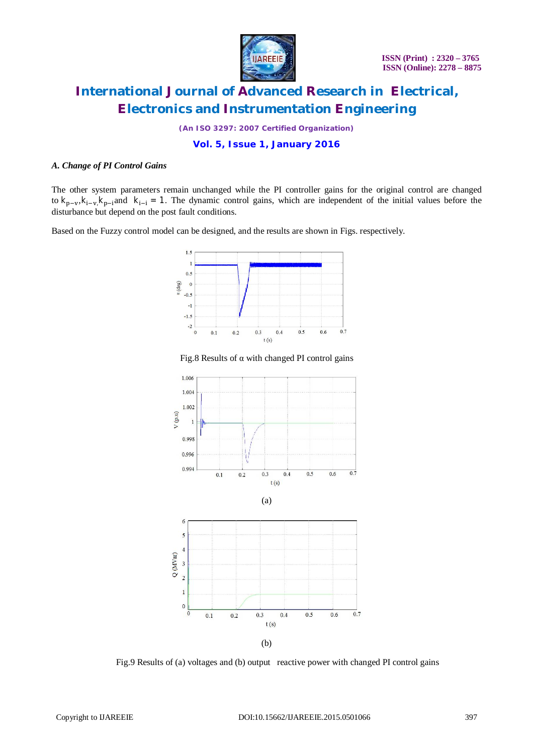

*(An ISO 3297: 2007 Certified Organization)*

**Vol. 5, Issue 1, January 2016**

#### *A. Change of PI Control Gains*

The other system parameters remain unchanged while the PI controller gains for the original control are changed to  $k_{p-v}$ ,  $k_{i-v}$ ,  $k_{p-i}$  and  $k_{i-i} = 1$ . The dynamic control gains, which are independent of the initial values before the disturbance but depend on the post fault conditions.

Based on the Fuzzy control model can be designed, and the results are shown in Figs. respectively.



Fig.8 Results of  $\alpha$  with changed PI control gains



Fig.9 Results of (a) voltages and (b) output reactive power with changed PI control gains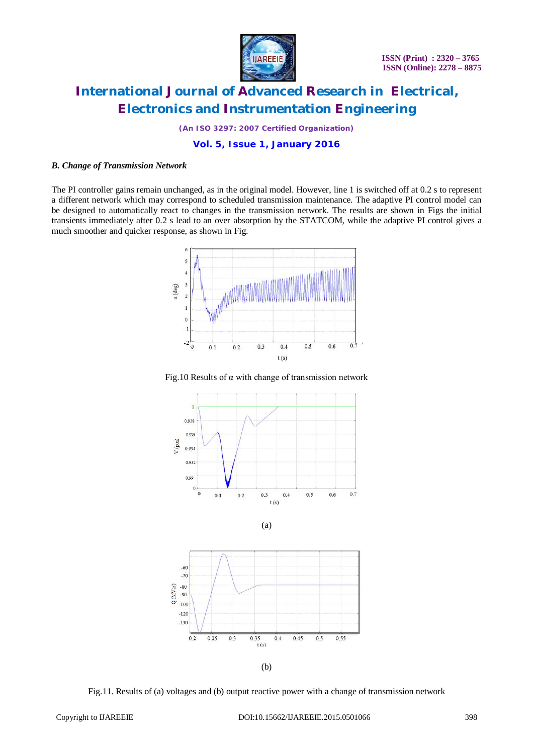

*(An ISO 3297: 2007 Certified Organization)*

**Vol. 5, Issue 1, January 2016**

#### *B. Change of Transmission Network*

The PI controller gains remain unchanged, as in the original model. However, line 1 is switched off at 0.2 s to represent a different network which may correspond to scheduled transmission maintenance. The adaptive PI control model can be designed to automatically react to changes in the transmission network. The results are shown in Figs the initial transients immediately after 0.2 s lead to an over absorption by the STATCOM, while the adaptive PI control gives a much smoother and quicker response, as shown in Fig.



Fig.10 Results of  $\alpha$  with change of transmission network







(b)

Fig.11. Results of (a) voltages and (b) output reactive power with a change of transmission network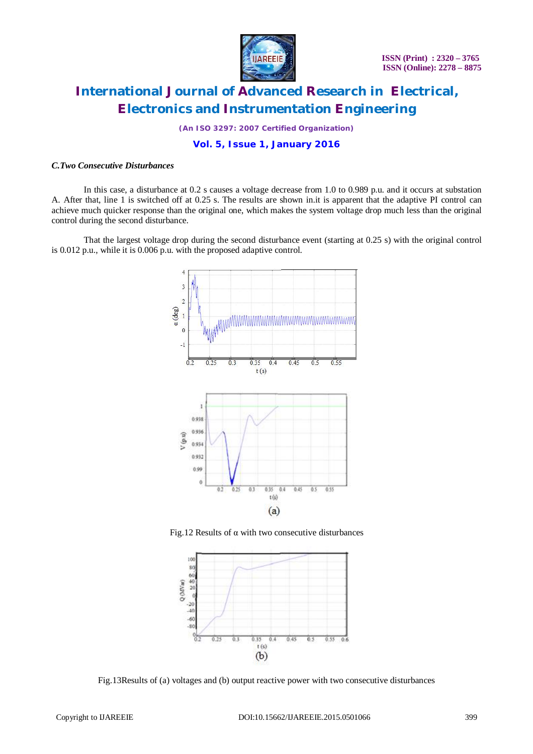

*(An ISO 3297: 2007 Certified Organization)*

**Vol. 5, Issue 1, January 2016**

#### *C.Two Consecutive Disturbances*

In this case, a disturbance at 0.2 s causes a voltage decrease from 1.0 to 0.989 p.u. and it occurs at substation A. After that, line 1 is switched off at 0.25 s. The results are shown in.it is apparent that the adaptive PI control can achieve much quicker response than the original one, which makes the system voltage drop much less than the original control during the second disturbance.

That the largest voltage drop during the second disturbance event (starting at 0.25 s) with the original control is 0.012 p.u., while it is 0.006 p.u. with the proposed adaptive control.



Fig.12 Results of  $\alpha$  with two consecutive disturbances



Fig.13Results of (a) voltages and (b) output reactive power with two consecutive disturbances